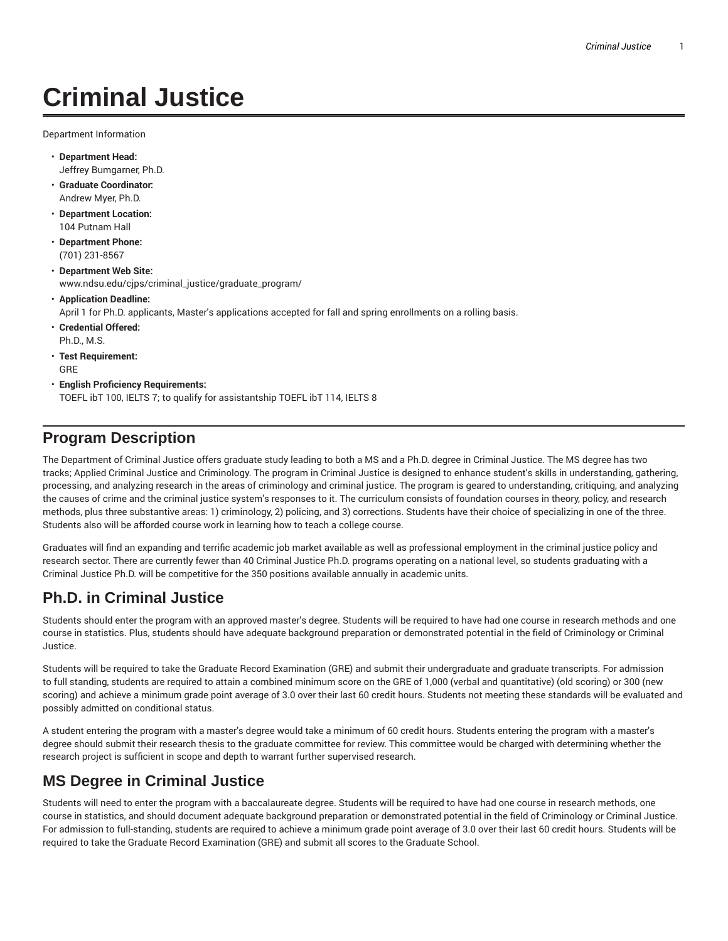# **Criminal Justice**

Department Information

- **Department Head:** Jeffrey Bumgarner, Ph.D.
- **Graduate Coordinator:** Andrew Myer, Ph.D.
- **Department Location:** 104 Putnam Hall
- **Department Phone:** (701) 231-8567
- **Department Web Site:** www.ndsu.edu/cjps/criminal\_justice/graduate\_program/
- **Application Deadline:** April 1 for Ph.D. applicants, Master's applications accepted for fall and spring enrollments on a rolling basis.
- **Credential Offered:** Ph.D., M.S.
- **Test Requirement:** GRE
- **English Proficiency Requirements:** TOEFL ibT 100, IELTS 7; to qualify for assistantship TOEFL ibT 114, IELTS 8

## **Program Description**

The Department of Criminal Justice offers graduate study leading to both a MS and a Ph.D. degree in Criminal Justice. The MS degree has two tracks; Applied Criminal Justice and Criminology. The program in Criminal Justice is designed to enhance student's skills in understanding, gathering, processing, and analyzing research in the areas of criminology and criminal justice. The program is geared to understanding, critiquing, and analyzing the causes of crime and the criminal justice system's responses to it. The curriculum consists of foundation courses in theory, policy, and research methods, plus three substantive areas: 1) criminology, 2) policing, and 3) corrections. Students have their choice of specializing in one of the three. Students also will be afforded course work in learning how to teach a college course.

Graduates will find an expanding and terrific academic job market available as well as professional employment in the criminal justice policy and research sector. There are currently fewer than 40 Criminal Justice Ph.D. programs operating on a national level, so students graduating with a Criminal Justice Ph.D. will be competitive for the 350 positions available annually in academic units.

# **Ph.D. in Criminal Justice**

Students should enter the program with an approved master's degree. Students will be required to have had one course in research methods and one course in statistics. Plus, students should have adequate background preparation or demonstrated potential in the field of Criminology or Criminal Justice.

Students will be required to take the Graduate Record Examination (GRE) and submit their undergraduate and graduate transcripts. For admission to full standing, students are required to attain a combined minimum score on the GRE of 1,000 (verbal and quantitative) (old scoring) or 300 (new scoring) and achieve a minimum grade point average of 3.0 over their last 60 credit hours. Students not meeting these standards will be evaluated and possibly admitted on conditional status.

A student entering the program with a master's degree would take a minimum of 60 credit hours. Students entering the program with a master's degree should submit their research thesis to the graduate committee for review. This committee would be charged with determining whether the research project is sufficient in scope and depth to warrant further supervised research.

# **MS Degree in Criminal Justice**

Students will need to enter the program with a baccalaureate degree. Students will be required to have had one course in research methods, one course in statistics, and should document adequate background preparation or demonstrated potential in the field of Criminology or Criminal Justice. For admission to full-standing, students are required to achieve a minimum grade point average of 3.0 over their last 60 credit hours. Students will be required to take the Graduate Record Examination (GRE) and submit all scores to the Graduate School.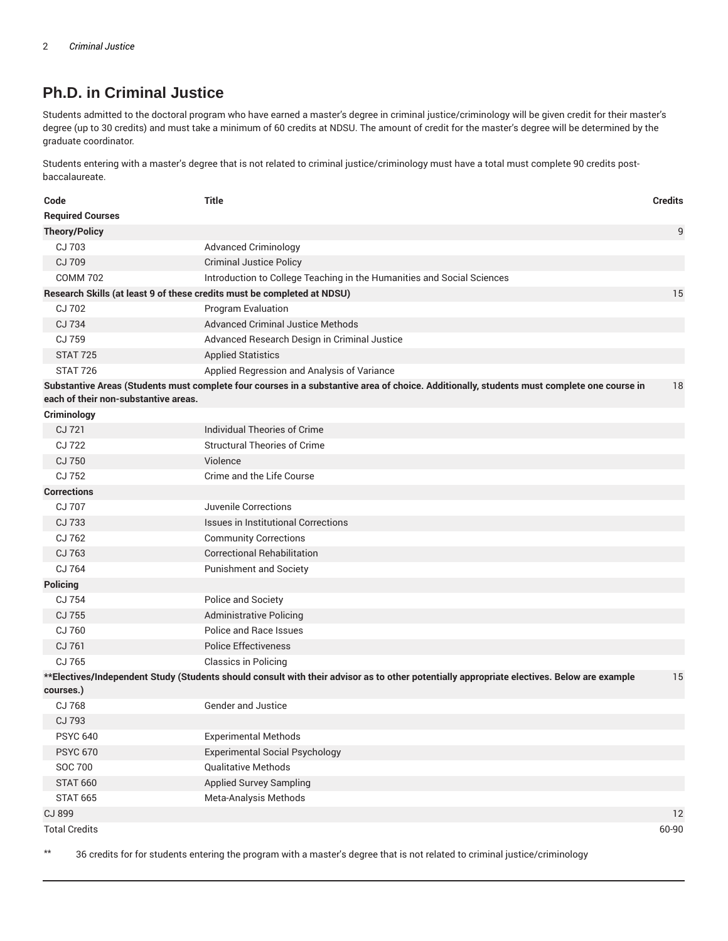## **Ph.D. in Criminal Justice**

Students admitted to the doctoral program who have earned a master's degree in criminal justice/criminology will be given credit for their master's degree (up to 30 credits) and must take a minimum of 60 credits at NDSU. The amount of credit for the master's degree will be determined by the graduate coordinator.

Students entering with a master's degree that is not related to criminal justice/criminology must have a total must complete 90 credits postbaccalaureate.

| Code                                                                    | <b>Title</b>                                                                                                                               | <b>Credits</b> |
|-------------------------------------------------------------------------|--------------------------------------------------------------------------------------------------------------------------------------------|----------------|
| <b>Required Courses</b>                                                 |                                                                                                                                            |                |
| <b>Theory/Policy</b>                                                    |                                                                                                                                            | 9              |
| CJ 703                                                                  | <b>Advanced Criminology</b>                                                                                                                |                |
| CJ 709                                                                  | <b>Criminal Justice Policy</b>                                                                                                             |                |
| <b>COMM 702</b>                                                         | Introduction to College Teaching in the Humanities and Social Sciences                                                                     |                |
| Research Skills (at least 9 of these credits must be completed at NDSU) |                                                                                                                                            | 15             |
| CJ 702                                                                  | Program Evaluation                                                                                                                         |                |
| CJ 734                                                                  | <b>Advanced Criminal Justice Methods</b>                                                                                                   |                |
| CJ 759                                                                  | Advanced Research Design in Criminal Justice                                                                                               |                |
| <b>STAT 725</b>                                                         | <b>Applied Statistics</b>                                                                                                                  |                |
| <b>STAT 726</b>                                                         | Applied Regression and Analysis of Variance                                                                                                |                |
| each of their non-substantive areas.                                    | Substantive Areas (Students must complete four courses in a substantive area of choice. Additionally, students must complete one course in | 18             |
| Criminology                                                             |                                                                                                                                            |                |
| CJ 721                                                                  | <b>Individual Theories of Crime</b>                                                                                                        |                |
| CJ 722                                                                  | <b>Structural Theories of Crime</b>                                                                                                        |                |
| CJ 750                                                                  | Violence                                                                                                                                   |                |
| CJ 752                                                                  | Crime and the Life Course                                                                                                                  |                |
| <b>Corrections</b>                                                      |                                                                                                                                            |                |
| CJ 707                                                                  | <b>Juvenile Corrections</b>                                                                                                                |                |
| CJ 733                                                                  | <b>Issues in Institutional Corrections</b>                                                                                                 |                |
| CJ 762                                                                  | <b>Community Corrections</b>                                                                                                               |                |
| CJ 763                                                                  | <b>Correctional Rehabilitation</b>                                                                                                         |                |
| CJ 764                                                                  | <b>Punishment and Society</b>                                                                                                              |                |
| <b>Policing</b>                                                         |                                                                                                                                            |                |
| CJ 754                                                                  | Police and Society                                                                                                                         |                |
| CJ 755                                                                  | <b>Administrative Policing</b>                                                                                                             |                |
| CJ 760                                                                  | Police and Race Issues                                                                                                                     |                |
| CJ 761                                                                  | <b>Police Effectiveness</b>                                                                                                                |                |
| CJ 765                                                                  | <b>Classics in Policing</b>                                                                                                                |                |
|                                                                         | **Electives/Independent Study (Students should consult with their advisor as to other potentially appropriate electives. Below are example | 15             |
| courses.)                                                               |                                                                                                                                            |                |
| CJ 768                                                                  | <b>Gender and Justice</b>                                                                                                                  |                |
| CJ 793                                                                  |                                                                                                                                            |                |
| <b>PSYC 640</b>                                                         | <b>Experimental Methods</b>                                                                                                                |                |
| <b>PSYC 670</b>                                                         | <b>Experimental Social Psychology</b>                                                                                                      |                |
| <b>SOC 700</b>                                                          | <b>Qualitative Methods</b>                                                                                                                 |                |
| <b>STAT 660</b>                                                         | <b>Applied Survey Sampling</b>                                                                                                             |                |
| <b>STAT 665</b>                                                         | Meta-Analysis Methods                                                                                                                      |                |
| CJ 899                                                                  |                                                                                                                                            | 12             |
| <b>Total Credits</b>                                                    |                                                                                                                                            | 60-90          |

\*\* 36 credits for for students entering the program with a master's degree that is not related to criminal justice/criminology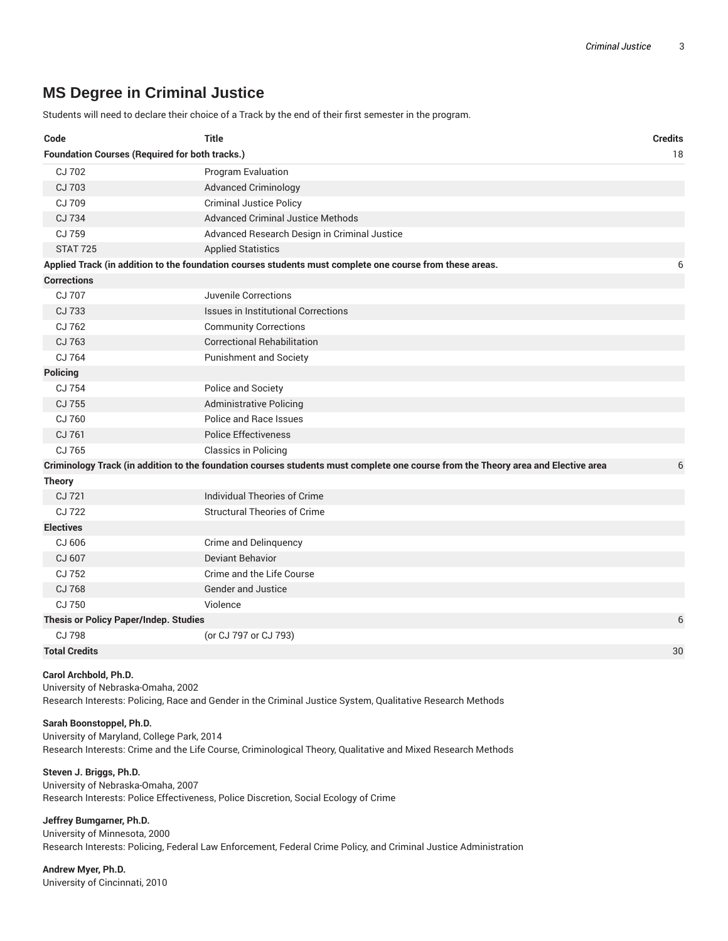## **MS Degree in Criminal Justice**

Students will need to declare their choice of a Track by the end of their first semester in the program.

| Code                                                        | <b>Title</b>                                                                                                                      | <b>Credits</b> |  |
|-------------------------------------------------------------|-----------------------------------------------------------------------------------------------------------------------------------|----------------|--|
| <b>Foundation Courses (Required for both tracks.)</b><br>18 |                                                                                                                                   |                |  |
| CJ 702                                                      | Program Evaluation                                                                                                                |                |  |
| CJ 703                                                      | <b>Advanced Criminology</b>                                                                                                       |                |  |
| CJ 709                                                      | <b>Criminal Justice Policy</b>                                                                                                    |                |  |
| CJ 734                                                      | <b>Advanced Criminal Justice Methods</b>                                                                                          |                |  |
| CJ 759                                                      | Advanced Research Design in Criminal Justice                                                                                      |                |  |
| <b>STAT 725</b>                                             | <b>Applied Statistics</b>                                                                                                         |                |  |
|                                                             | Applied Track (in addition to the foundation courses students must complete one course from these areas.                          | 6              |  |
| <b>Corrections</b>                                          |                                                                                                                                   |                |  |
| CJ 707                                                      | Juvenile Corrections                                                                                                              |                |  |
| CJ 733                                                      | <b>Issues in Institutional Corrections</b>                                                                                        |                |  |
| CJ 762                                                      | <b>Community Corrections</b>                                                                                                      |                |  |
| CJ 763                                                      | <b>Correctional Rehabilitation</b>                                                                                                |                |  |
| CJ 764                                                      | <b>Punishment and Society</b>                                                                                                     |                |  |
| <b>Policing</b>                                             |                                                                                                                                   |                |  |
| CJ 754                                                      | Police and Society                                                                                                                |                |  |
| CJ 755                                                      | <b>Administrative Policing</b>                                                                                                    |                |  |
| CJ 760                                                      | Police and Race Issues                                                                                                            |                |  |
| CJ 761                                                      | <b>Police Effectiveness</b>                                                                                                       |                |  |
| CJ 765                                                      | <b>Classics in Policing</b>                                                                                                       |                |  |
|                                                             | Criminology Track (in addition to the foundation courses students must complete one course from the Theory area and Elective area | 6              |  |
| <b>Theory</b>                                               |                                                                                                                                   |                |  |
| CJ 721                                                      | Individual Theories of Crime                                                                                                      |                |  |
| CJ 722                                                      | <b>Structural Theories of Crime</b>                                                                                               |                |  |
| <b>Electives</b>                                            |                                                                                                                                   |                |  |
| CJ 606                                                      | Crime and Delinguency                                                                                                             |                |  |
| CJ 607                                                      | Deviant Behavior                                                                                                                  |                |  |
| CJ 752                                                      | Crime and the Life Course                                                                                                         |                |  |
| CJ 768                                                      | Gender and Justice                                                                                                                |                |  |
| CJ 750                                                      | Violence                                                                                                                          |                |  |
| <b>Thesis or Policy Paper/Indep. Studies</b>                |                                                                                                                                   | 6              |  |
| CJ 798                                                      | (or CJ 797 or CJ 793)                                                                                                             |                |  |
| <b>Total Credits</b>                                        |                                                                                                                                   | 30             |  |

#### **Carol Archbold, Ph.D.**

University of Nebraska-Omaha, 2002 Research Interests: Policing, Race and Gender in the Criminal Justice System, Qualitative Research Methods

#### **Sarah Boonstoppel, Ph.D.**

University of Maryland, College Park, 2014 Research Interests: Crime and the Life Course, Criminological Theory, Qualitative and Mixed Research Methods

## **Steven J. Briggs, Ph.D.**

University of Nebraska-Omaha, 2007 Research Interests: Police Effectiveness, Police Discretion, Social Ecology of Crime

#### **Jeffrey Bumgarner, Ph.D.**

University of Minnesota, 2000 Research Interests: Policing, Federal Law Enforcement, Federal Crime Policy, and Criminal Justice Administration

**Andrew Myer, Ph.D.** University of Cincinnati, 2010